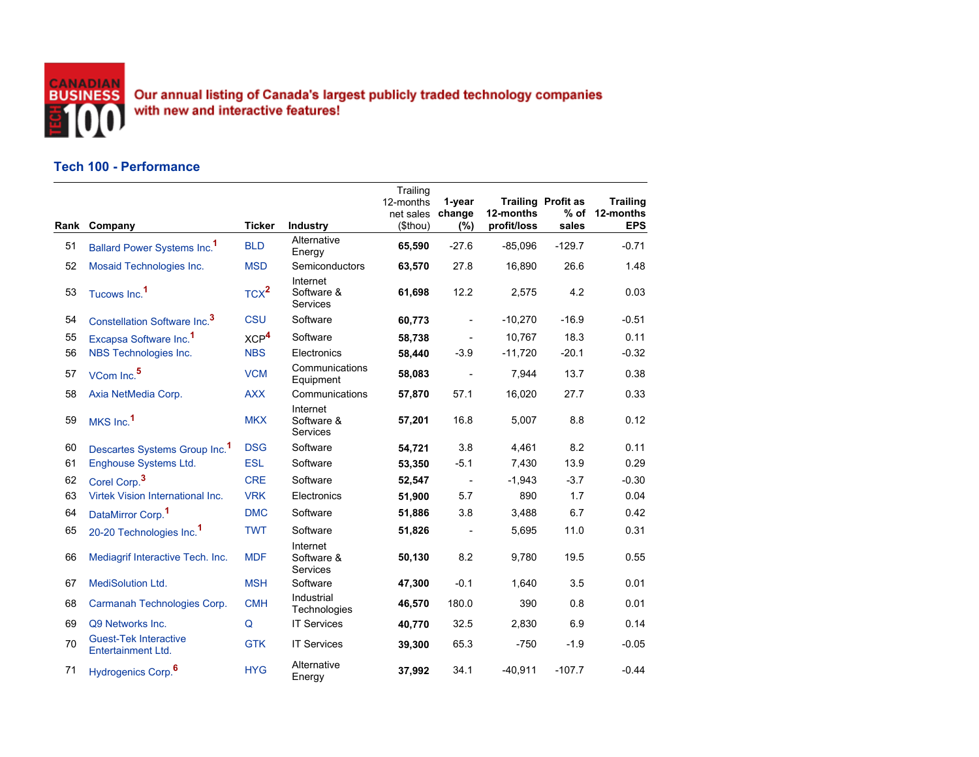

Our annual listing of Canada's largest publicly traded technology companies<br>with new and interactive features!

## **Tech 100 - Performance**

|    | Rank Company                                       | <b>Ticker</b>    | <b>Industry</b>                    | Trailing<br>12-months<br>net sales<br>(\$thou) | 1-year<br>change<br>(%) | 12-months<br>profit/loss | <b>Trailing Profit as</b><br>$%$ of<br>sales | <b>Trailing</b><br>12-months<br><b>EPS</b> |
|----|----------------------------------------------------|------------------|------------------------------------|------------------------------------------------|-------------------------|--------------------------|----------------------------------------------|--------------------------------------------|
| 51 | Ballard Power Systems Inc. <sup>1</sup>            | <b>BLD</b>       | Alternative<br>Energy              | 65,590                                         | $-27.6$                 | $-85,096$                | $-129.7$                                     | $-0.71$                                    |
| 52 | Mosaid Technologies Inc.                           | <b>MSD</b>       | Semiconductors                     | 63,570                                         | 27.8                    | 16,890                   | 26.6                                         | 1.48                                       |
| 53 | Tucows Inc. <sup>1</sup>                           | TCX <sup>2</sup> | Internet<br>Software &<br>Services | 61,698                                         | 12.2                    | 2,575                    | 4.2                                          | 0.03                                       |
| 54 | Constellation Software Inc. <sup>3</sup>           | <b>CSU</b>       | Software                           | 60,773                                         | $\frac{1}{2}$           | $-10,270$                | $-16.9$                                      | $-0.51$                                    |
| 55 | Excapsa Software Inc. <sup>1</sup>                 | XCP <sup>4</sup> | Software                           | 58,738                                         |                         | 10,767                   | 18.3                                         | 0.11                                       |
| 56 | NBS Technologies Inc.                              | <b>NBS</b>       | Electronics                        | 58,440                                         | $-3.9$                  | $-11,720$                | $-20.1$                                      | $-0.32$                                    |
| 57 | VCom Inc. <sup>5</sup>                             | <b>VCM</b>       | Communications<br>Equipment        | 58,083                                         |                         | 7.944                    | 13.7                                         | 0.38                                       |
| 58 | Axia NetMedia Corp.                                | <b>AXX</b>       | Communications                     | 57,870                                         | 57.1                    | 16,020                   | 27.7                                         | 0.33                                       |
| 59 | MKS Inc. <sup>1</sup>                              | <b>MKX</b>       | Internet<br>Software &<br>Services | 57,201                                         | 16.8                    | 5,007                    | 8.8                                          | 0.12                                       |
| 60 | Descartes Systems Group Inc. <sup>1</sup>          | <b>DSG</b>       | Software                           | 54,721                                         | 3.8                     | 4,461                    | 8.2                                          | 0.11                                       |
| 61 | Enghouse Systems Ltd.                              | <b>ESL</b>       | Software                           | 53,350                                         | $-5.1$                  | 7,430                    | 13.9                                         | 0.29                                       |
| 62 | Corel Corp. <sup>3</sup>                           | <b>CRE</b>       | Software                           | 52,547                                         | $\sim$ $-$              | $-1,943$                 | $-3.7$                                       | $-0.30$                                    |
| 63 | Virtek Vision International Inc.                   | <b>VRK</b>       | Electronics                        | 51,900                                         | 5.7                     | 890                      | 1.7                                          | 0.04                                       |
| 64 | DataMirror Corp. <sup>1</sup>                      | <b>DMC</b>       | Software                           | 51,886                                         | 3.8                     | 3,488                    | 6.7                                          | 0.42                                       |
| 65 | 20-20 Technologies Inc. <sup>1</sup>               | <b>TWT</b>       | Software                           | 51,826                                         |                         | 5,695                    | 11.0                                         | 0.31                                       |
| 66 | Mediagrif Interactive Tech. Inc.                   | <b>MDF</b>       | Internet<br>Software &<br>Services | 50,130                                         | 8.2                     | 9,780                    | 19.5                                         | 0.55                                       |
| 67 | <b>MediSolution Ltd.</b>                           | <b>MSH</b>       | Software                           | 47,300                                         | $-0.1$                  | 1,640                    | 3.5                                          | 0.01                                       |
| 68 | Carmanah Technologies Corp.                        | <b>CMH</b>       | Industrial<br>Technologies         | 46,570                                         | 180.0                   | 390                      | 0.8                                          | 0.01                                       |
| 69 | Q9 Networks Inc.                                   | Q                | <b>IT Services</b>                 | 40,770                                         | 32.5                    | 2,830                    | 6.9                                          | 0.14                                       |
| 70 | <b>Guest-Tek Interactive</b><br>Entertainment Ltd. | <b>GTK</b>       | <b>IT Services</b>                 | 39,300                                         | 65.3                    | $-750$                   | $-1.9$                                       | $-0.05$                                    |
| 71 | Hydrogenics Corp. <sup>6</sup>                     | <b>HYG</b>       | Alternative<br>Energy              | 37,992                                         | 34.1                    | $-40,911$                | $-107.7$                                     | $-0.44$                                    |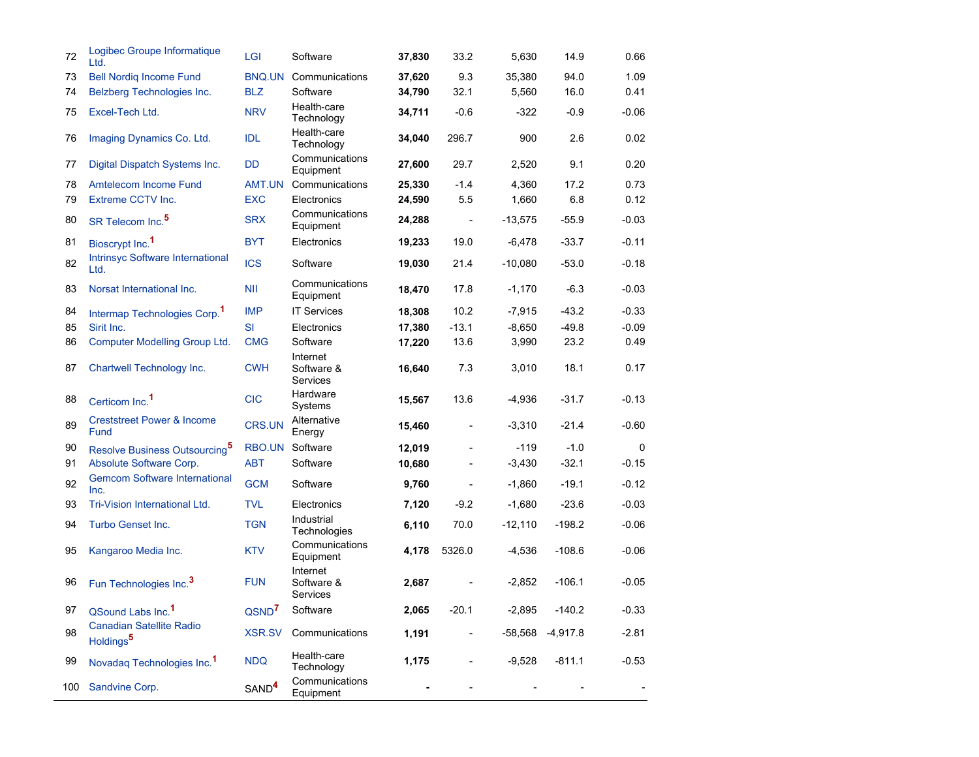| 72  | Logibec Groupe Informatique<br>Ltd.                      | LGI               | Software                           | 37,830 | 33.2                     | 5,630     | 14.9       | 0.66        |
|-----|----------------------------------------------------------|-------------------|------------------------------------|--------|--------------------------|-----------|------------|-------------|
| 73  | <b>Bell Nordig Income Fund</b>                           | BNQ.UN            | Communications                     | 37,620 | 9.3                      | 35,380    | 94.0       | 1.09        |
| 74  | Belzberg Technologies Inc.                               | <b>BLZ</b>        | Software                           | 34,790 | 32.1                     | 5,560     | 16.0       | 0.41        |
| 75  | Excel-Tech Ltd.                                          | <b>NRV</b>        | Health-care<br>Technology          | 34,711 | $-0.6$                   | -322      | $-0.9$     | $-0.06$     |
| 76  | Imaging Dynamics Co. Ltd.                                | <b>IDL</b>        | Health-care<br>Technology          | 34,040 | 296.7                    | 900       | 2.6        | 0.02        |
| 77  | Digital Dispatch Systems Inc.                            | <b>DD</b>         | Communications<br>Equipment        | 27,600 | 29.7                     | 2,520     | 9.1        | 0.20        |
| 78  | Amtelecom Income Fund                                    | AMT.UN            | Communications                     | 25,330 | $-1.4$                   | 4,360     | 17.2       | 0.73        |
| 79  | Extreme CCTV Inc.                                        | <b>EXC</b>        | Electronics                        | 24,590 | 5.5                      | 1,660     | 6.8        | 0.12        |
| 80  | SR Telecom Inc. <sup>5</sup>                             | <b>SRX</b>        | Communications<br>Equipment        | 24,288 | $\overline{\phantom{a}}$ | $-13,575$ | $-55.9$    | $-0.03$     |
| 81  | Bioscrypt Inc. <sup>1</sup>                              | <b>BYT</b>        | Electronics                        | 19,233 | 19.0                     | $-6,478$  | $-33.7$    | $-0.11$     |
| 82  | Intrinsyc Software International<br>Ltd.                 | <b>ICS</b>        | Software                           | 19,030 | 21.4                     | $-10,080$ | $-53.0$    | $-0.18$     |
| 83  | Norsat International Inc.                                | <b>NII</b>        | Communications<br>Equipment        | 18,470 | 17.8                     | $-1,170$  | $-6.3$     | $-0.03$     |
| 84  | Intermap Technologies Corp. <sup>1</sup>                 | <b>IMP</b>        | <b>IT Services</b>                 | 18,308 | 10.2                     | $-7,915$  | $-43.2$    | $-0.33$     |
| 85  | Sirit Inc.                                               | <b>SI</b>         | Electronics                        | 17,380 | $-13.1$                  | $-8,650$  | $-49.8$    | $-0.09$     |
| 86  | Computer Modelling Group Ltd.                            | <b>CMG</b>        | Software                           | 17,220 | 13.6                     | 3,990     | 23.2       | 0.49        |
| 87  | Chartwell Technology Inc.                                | <b>CWH</b>        | Internet<br>Software &<br>Services | 16,640 | 7.3                      | 3,010     | 18.1       | 0.17        |
| 88  | Certicom Inc. <sup>1</sup>                               | <b>CIC</b>        | Hardware<br>Systems                | 15,567 | 13.6                     | $-4,936$  | $-31.7$    | $-0.13$     |
| 89  | <b>Creststreet Power &amp; Income</b><br>Fund            | <b>CRS.UN</b>     | Alternative<br>Energy              | 15,460 | $\overline{a}$           | $-3,310$  | $-21.4$    | $-0.60$     |
| 90  | Resolve Business Outsourcing <sup>5</sup>                | RBO.UN            | Software                           | 12,019 |                          | $-119$    | $-1.0$     | $\mathbf 0$ |
| 91  | Absolute Software Corp.                                  | ABT               | Software                           | 10,680 |                          | $-3,430$  | $-32.1$    | $-0.15$     |
| 92  | <b>Gemcom Software International</b><br>Inc.             | <b>GCM</b>        | Software                           | 9,760  |                          | $-1,860$  | $-19.1$    | $-0.12$     |
| 93  | Tri-Vision International Ltd.                            | <b>TVL</b>        | Electronics                        | 7,120  | $-9.2$                   | $-1,680$  | $-23.6$    | $-0.03$     |
| 94  | Turbo Genset Inc.                                        | <b>TGN</b>        | Industrial<br>Technologies         | 6,110  | 70.0                     | $-12,110$ | $-198.2$   | $-0.06$     |
| 95  | Kangaroo Media Inc.                                      | <b>KTV</b>        | Communications<br>Equipment        | 4,178  | 5326.0                   | $-4,536$  | $-108.6$   | $-0.06$     |
| 96  | Fun Technologies Inc. <sup>3</sup>                       | <b>FUN</b>        | Internet<br>Software &<br>Services | 2,687  |                          | $-2,852$  | $-106.1$   | $-0.05$     |
| 97  | QSound Labs Inc. <sup>1</sup>                            | QSND <sup>7</sup> | Software                           | 2,065  | $-20.1$                  | $-2,895$  | $-140.2$   | $-0.33$     |
| 98  | <b>Canadian Satellite Radio</b><br>Holdings <sup>5</sup> | <b>XSR.SV</b>     | Communications                     | 1,191  |                          | $-58,568$ | $-4,917.8$ | $-2.81$     |
| 99  | Novadaq Technologies Inc. <sup>1</sup>                   | <b>NDQ</b>        | Health-care<br>Technology          | 1,175  |                          | $-9,528$  | $-811.1$   | $-0.53$     |
| 100 | Sandvine Corp.                                           | SAND <sup>4</sup> | Communications<br>Equipment        |        |                          |           |            |             |